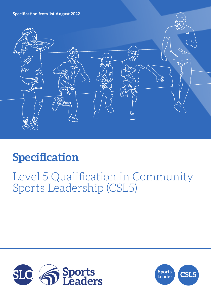**Specification from 1st August 2022**



# **Specification**

## Level 5 Qualification in Community Sports Leadership (CSL5)



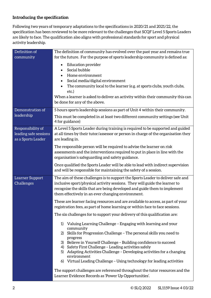## **Introducing the specification**

Following two years of temporary adaptations to the specifications in 2020/21 and 2021/22, the specification has been reviewed to be more relevant to the challenges that SCQF Level 5 Sports Leaders are likely to face. The qualification also aligns with professional standards for sport and physical activity leadership.

| Definition of         | The definition of community has evolved over the past year and remains true                                                                         |  |  |
|-----------------------|-----------------------------------------------------------------------------------------------------------------------------------------------------|--|--|
| community             | for the future. For the purpose of sports leadership community is defined as:                                                                       |  |  |
|                       | <b>Education provider</b><br>$\bullet$                                                                                                              |  |  |
|                       | Social bubble<br>$\bullet$<br>Home environment                                                                                                      |  |  |
|                       | $\bullet$<br>Social media/digital environment                                                                                                       |  |  |
|                       | The community local to the learner (e.g. at sports clubs, youth clubs,<br>$\bullet$                                                                 |  |  |
|                       | etc.)                                                                                                                                               |  |  |
|                       | When a learner is asked to deliver an activity within their community this can                                                                      |  |  |
|                       | be done for any of the above.                                                                                                                       |  |  |
| Demonstration of      | 5 hours sports leadership sessions as part of Unit 4 within their community.                                                                        |  |  |
| leadership            | This must be completed in at least two different community settings (see Unit<br>4 for guidance)                                                    |  |  |
| Responsibility of     | A Level 5 Sports Leader during training is required to be supported and guided                                                                      |  |  |
| leading safe sessions | at all times by their tutor/assessor or person in charge of the organisation they                                                                   |  |  |
| as a Sports Leader    | are leading in.                                                                                                                                     |  |  |
|                       | The responsible person will be required to advise the learner on risk                                                                               |  |  |
|                       | assessments and the interventions required to put in place in line with the                                                                         |  |  |
|                       | organisation's safeguarding and safety guidance.                                                                                                    |  |  |
|                       | Once qualified the Sports Leader will be able to lead with indirect supervision<br>and will be responsible for maintaining the safety of a session. |  |  |
| Learner Support       | The aim of these challenges is to support the Sports Leader to deliver safe and                                                                     |  |  |
| Challenges            | inclusive sport/physical activity sessions. They will guide the learner to                                                                          |  |  |
|                       | recognise the skills that are being developed and guide them to implement                                                                           |  |  |
|                       | them effectively in an ever changing environment.                                                                                                   |  |  |
|                       | These are learner facing resources and are available to access, as part of your                                                                     |  |  |
|                       | registration fees, as part of home learning or within face to face sessions.                                                                        |  |  |
|                       | The six challenges for to support your delivery of this qualification are:                                                                          |  |  |
|                       | Valuing Learning Challenge - Engaging with learning and your<br>1)<br>community                                                                     |  |  |
|                       | 2) Skills for Progression Challenge - The personal skills you need to                                                                               |  |  |
|                       | progress<br>3) Believe in Yourself Challenge - Building confidence to succeed                                                                       |  |  |
|                       | 4) Safety First Challenge - Leading activities safely                                                                                               |  |  |
|                       | 5) Adapting Activities Challenge - Developing activities for a changing                                                                             |  |  |
|                       | environment<br>6) Virtual Leading Challenge - Using technology for leading activities                                                               |  |  |
|                       |                                                                                                                                                     |  |  |
|                       | The support challenges are referenced throughout the tutor resources and the                                                                        |  |  |
|                       | Learner Evidence Records as 'Power Up Opportunities'.                                                                                               |  |  |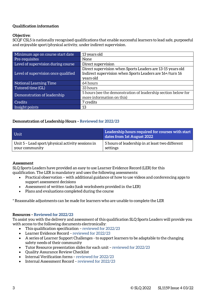#### **Qualification information**

#### **Objective:**

SCQF CSL5 is nationally recognised qualifications that enable successful learners to lead safe, purposeful and enjoyable sport/physical activity, under indirect supervision.

| Minimum age on course start date    | 13 years old                                                   |  |  |
|-------------------------------------|----------------------------------------------------------------|--|--|
| Pre-requisites                      | None                                                           |  |  |
| Level of supervision during course  | Direct supervision                                             |  |  |
|                                     | Direct supervision when Sports Leaders are 13-15 years old     |  |  |
| Level of supervision once qualified | Indirect supervision when Sports Leaders are 16+/turn 16       |  |  |
|                                     | years old                                                      |  |  |
| Notional Learning Time              | 64 hours                                                       |  |  |
| Tutored time (GL)                   | 33 hours                                                       |  |  |
| Demonstration of leadership         | 5 hours (see the demonstration of leadership section below for |  |  |
|                                     | more information on this)                                      |  |  |
| <b>Credits</b>                      | 7 credits                                                      |  |  |
| Insight points                      | 13                                                             |  |  |

#### **Demonstration of Leadership Hours – Reviewed for 2022/23**

| Unit                                              | Leadership hours required for courses with start<br>dates from 1st August 2022 |
|---------------------------------------------------|--------------------------------------------------------------------------------|
| Unit 5 – Lead sport/physical activity sessions in | 5 hours of leadership in at least two different                                |
| vour community                                    | settings                                                                       |

#### **Assessment**

SLQ Sports Leaders have provided an easy to use Learner Evidence Record (LER) for this qualification. The LER is mandatory and uses the following assessments:

- Practical observation with additional guidance of how to use videos and conferencing apps to support assessment decisions
- Assessment of written tasks (task worksheets provided in the LER)
- Plans and evaluations completed during the course

\* Reasonable adjustments can be made for learners who are unable to complete the LER

#### **Resources – Reviewed for 2022/23**

To assist you with the delivery and assessment of this qualification SLQ Sports Leaders will provide you with access to the following documents electronically:

- This qualification specification reviewed for 2022/23
- Learner Evidence Record reviewed for 2022/23
- A series of Learner Support Challenges to support learners to be adaptable to the changing safety needs of their community
- Tutor Resource presentation slides for each unit reviewed for 2022/23
- Quality Assurance Review Checklist
- Internal Verification forms reviewed for 2022/23
- Internal Assessment Record reviewed for 2022/23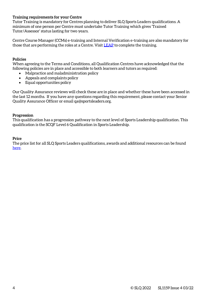#### **Training requirements for your Centre**

Tutor Training is mandatory for Centres planning to deliver SLQ Sports Leaders qualifications. A minimum of one person per Centre must undertake Tutor Training which gives 'Trained Tutor/Assessor' status lasting for two years.

Centre Course Manager (CCMs) e-training and Internal Verification e-training are also mandatory for those that are performing the roles at a Centre. Visit [LEAP](https://leap.slqskills.org/training-menu/?def=1) to complete the training.

#### **Policies**

When agreeing to the Terms and Conditions, all Qualification Centres have acknowledged that the following policies are in place and accessible to both learners and tutors as required:

- Malpractice and maladministration policy
- Appeals and complaints policy
- Equal opportunities policy

Our Quality Assurance reviews will check these are in place and whether these have been accessed in the last 12 months. If you have any questions regarding this requirement, please contact your Senior Quality Assurance Officer or email qa@sportsleaders.org.

#### **Progression**

This qualification has a progression pathway to the next level of Sports Leadership qualification. This qualification is the SCQF Level 6 Qualification in Sports Leadership.

#### **Price**

The price list for all SLQ Sports Leaders qualifications, awards and additional resources can be found [here.](https://www.sportsleaders.org/about-us-1/prices)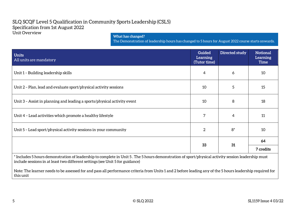### SLQ SCQF Level 5 Qualification in Community Sports Leadership (CSL5) Specification from 1st August 2022 Unit Overview

#### **What has changed?**

The Demonstration of leadership hours has changed to 5 hours for August 2022 course starts onwards.

| <b>Units</b><br>All units are mandatory                                  | <b>Guided</b><br>Learning<br>(Tutor time) | Directed study | <b>Notional</b><br>Learning<br><b>Time</b>                                                                                                                                                                                                  |
|--------------------------------------------------------------------------|-------------------------------------------|----------------|---------------------------------------------------------------------------------------------------------------------------------------------------------------------------------------------------------------------------------------------|
| Unit 1 - Building leadership skills                                      | 4                                         | 6              | 10                                                                                                                                                                                                                                          |
| Unit 2 - Plan, lead and evaluate sport/physical activity sessions        | 10                                        | 5              | 15                                                                                                                                                                                                                                          |
| Unit 3 - Assist in planning and leading a sports/physical activity event | 10                                        | 8              | 18                                                                                                                                                                                                                                          |
| Unit 4 - Lead activities which promote a healthy lifestyle               | 7                                         | 4              | 11                                                                                                                                                                                                                                          |
| Unit 5 - Lead sport/physical activity sessions in your community         | 2                                         | $8*$           | 10                                                                                                                                                                                                                                          |
|                                                                          | 33                                        | 31             | 64                                                                                                                                                                                                                                          |
|                                                                          |                                           |                | 7 credits<br>$\pm$ , and the set of the set of the set of the set of the set of the set of the set of the set of the set of the set of the set of the set of the set of the set of the set of the set of the set of the set of the set of t |

\* Includes 5 hours demonstration of leadership to complete in Unit 5 . The 5 hours demonstration of sport/physical activity session leadership must include sessions in at least two different settings (see Unit 5 for guidance)

Note: The learner needs to be assessed for and pass all performance criteria from Units 1 and 2 before leading any of the 5 hours leadership required for this unit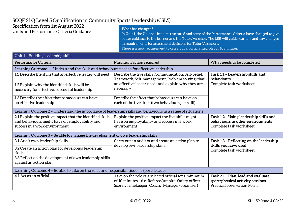## SCQF SLQ Level 5 Qualification in Community Sports Leadership (CSL5)

| Specification from 1st August 2022      | What has changed?                                                                                   |
|-----------------------------------------|-----------------------------------------------------------------------------------------------------|
| Units and Performance Criteria Guidance | In Unit 1, the Unit has been restructured and some of the Performance Criteria have changed to give |
|                                         | better guidance to the learner and the Tutor/Assessor. The LER will guide learners and any changes  |

in requirements for assessment decisions for Tutor/Assessors.

There is a new requirement to carry out an officiating role for 10 minutes.

| Unit 1 – Building leadership skills                                                                                                           |                                                                                                                                                                              |                                                                                                       |  |  |
|-----------------------------------------------------------------------------------------------------------------------------------------------|------------------------------------------------------------------------------------------------------------------------------------------------------------------------------|-------------------------------------------------------------------------------------------------------|--|--|
| Performance Criteria                                                                                                                          | Minimum action required                                                                                                                                                      | What needs to be completed                                                                            |  |  |
| Learning Outcome 1 - Understand the skills and behaviours needed for effective leadership                                                     |                                                                                                                                                                              |                                                                                                       |  |  |
| 1.1 Describe the skills that an effective leader will need                                                                                    | Describe the five skills (Communication, Self-belief,<br>Teamwork, Self-management, Problem solving) that<br>an effective leader needs and explain why they are<br>necessary | Task 1.1 - Leadership skills and<br>behaviours<br>Complete task worksheet                             |  |  |
| 1.2 Explain why the identified skills will be<br>necessary for effective, successful leadership                                               |                                                                                                                                                                              |                                                                                                       |  |  |
| 1.3 Describe the effect that behaviours can have<br>on effective leadership                                                                   | Describe the effect that behaviours can have on<br>each of the five skills (two behaviours per skill)                                                                        |                                                                                                       |  |  |
| Learning Outcome 2 – Understand the importance of leadership skills and behaviours in a range of situations                                   |                                                                                                                                                                              |                                                                                                       |  |  |
| 2.1 Explain the positive impact that the identified skills<br>and behaviours might have on employability and<br>success in a work environment | Explain the positive impact the five skills might<br>have on employability and success in a work<br>environment                                                              | Task 1.2 - Using leadership skills and<br>behaviours in other environments<br>Complete task worksheet |  |  |
| Learning Outcome 3 - Be able to manage the development of own leadership skills                                                               |                                                                                                                                                                              |                                                                                                       |  |  |
| 3.1 Audit own leadership skills                                                                                                               | Carry out an audit of and create an action plan to<br>develop own leadership skills                                                                                          | Task 1.3 - Reflecting on the leadership<br>skills you have used<br>Complete task worksheet            |  |  |
| 3.2 Create an action plan for developing leadership<br>skills                                                                                 |                                                                                                                                                                              |                                                                                                       |  |  |
| 3.3 Reflect on the development of own leadership skills<br>against an action plan                                                             |                                                                                                                                                                              |                                                                                                       |  |  |
| Learning Outcome 4 - Be able to take on the roles and responsibilities of a Sports Leader                                                     |                                                                                                                                                                              |                                                                                                       |  |  |
| 4.1 Act as an official                                                                                                                        | Take on the role of a selected official for a minimum<br>of 10 minutes - (i.e. Referee/umpire, Safety officer,<br>Scorer, Timekeeper, Coach, Manager/organiser)              | Task 2.1 - Plan, lead and evaluate<br>sport/physical activity sessions<br>Practical observation Form  |  |  |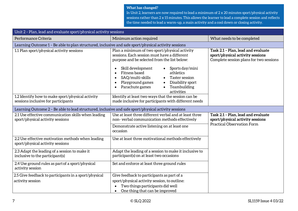In Unit 2, learners are now required to lead a minimum of 2 x 20 minutes sport/physical activity sessions rather than 2 x 15 minutes. This allows the learner to lead a complete session and reflects the time needed to lead a warm-up, a main activity and a cool down or closing activity.

| Unit 2 - Plan, lead and evaluate sport/physical activity sessions                                    |                                                                                                                                                                                                                                                                                                                                                                                        |                                                                                                                   |  |  |
|------------------------------------------------------------------------------------------------------|----------------------------------------------------------------------------------------------------------------------------------------------------------------------------------------------------------------------------------------------------------------------------------------------------------------------------------------------------------------------------------------|-------------------------------------------------------------------------------------------------------------------|--|--|
| Performance Criteria                                                                                 | Minimum action required                                                                                                                                                                                                                                                                                                                                                                | What needs to be completed                                                                                        |  |  |
| Learning Outcome 1 - Be able to plan structured, inclusive and safe sport/physical activity sessions |                                                                                                                                                                                                                                                                                                                                                                                        |                                                                                                                   |  |  |
| 1.1 Plan sport/physical activity sessions                                                            | Plan a minimum of two sport/physical activity<br>sessions. Each session must have a different<br>purpose and be selected from the list below:<br>Skill development<br>$\bullet$ Sports day/mini<br>$\bullet$<br>Fitness based<br>athletics<br>SAQ/multi-skills<br>Taster session<br>Playground games<br>Disability sport<br>Parachute games<br>Teambuilding<br>$\bullet$<br>activities | Task 2.1 - Plan, lead and evaluate<br>sport/physical activity sessions<br>Complete session plans for two sessions |  |  |
| 1.2 Identify how to make sport/physical activity<br>sessions inclusive for participants              | Identify at least two ways that the session can be<br>made inclusive for participants with different needs                                                                                                                                                                                                                                                                             |                                                                                                                   |  |  |
|                                                                                                      |                                                                                                                                                                                                                                                                                                                                                                                        |                                                                                                                   |  |  |
| Learning Outcome 2 - Be able to lead structured, inclusive and safe sport/physical activity sessions |                                                                                                                                                                                                                                                                                                                                                                                        |                                                                                                                   |  |  |
| 2.1 Use effective communication skills when leading<br>sport/physical activity sessions              | Use at least three different verbal and at least three<br>non-verbal communication methods effectively                                                                                                                                                                                                                                                                                 | Task 2.1 - Plan, lead and evaluate<br>sport/physical activity sessions                                            |  |  |
|                                                                                                      | Demonstrate active listening on at least one<br>occasion                                                                                                                                                                                                                                                                                                                               | <b>Practical Observation Form</b>                                                                                 |  |  |
| 2.2 Use effective motivation methods when leading<br>sport/physical activity sessions                | Use at least three motivational methods effectively                                                                                                                                                                                                                                                                                                                                    |                                                                                                                   |  |  |
| 2.3 Adapt the leading of a session to make it<br>inclusive to the participant(s)                     | Adapt the leading of a session to make it inclusive to<br>participant(s) on at least two occasions                                                                                                                                                                                                                                                                                     |                                                                                                                   |  |  |
| 2.4 Use ground rules as part of a sport/physical<br>activity session                                 | Set and enforce at least three ground rules                                                                                                                                                                                                                                                                                                                                            |                                                                                                                   |  |  |
| 2.5 Give feedback to participants in a sport/physical                                                | Give feedback to participants as part of a                                                                                                                                                                                                                                                                                                                                             |                                                                                                                   |  |  |
| activity session                                                                                     | sport/physical activity session, to outline:                                                                                                                                                                                                                                                                                                                                           |                                                                                                                   |  |  |
|                                                                                                      | Two things participants did well                                                                                                                                                                                                                                                                                                                                                       |                                                                                                                   |  |  |
|                                                                                                      | One thing that can be improved<br>$\bullet$                                                                                                                                                                                                                                                                                                                                            |                                                                                                                   |  |  |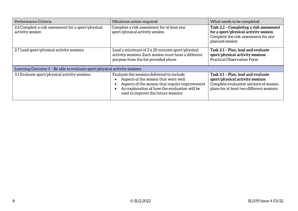| Performance Criteria                                                      | Minimum action required                                                                                                                                                                                                        | What needs to be completed                                                                                                                                     |
|---------------------------------------------------------------------------|--------------------------------------------------------------------------------------------------------------------------------------------------------------------------------------------------------------------------------|----------------------------------------------------------------------------------------------------------------------------------------------------------------|
| 2.6 Complete a risk assessment for a sport/physical<br>activity session   | Complete a risk assessment for at least one<br>sport/physical activity session                                                                                                                                                 | Task 2.2 - Completing a risk assessment<br>for a sport/physical activity session<br>Complete the risk assessment for one<br>planned session                    |
| 2.7 Lead sport/physical activity sessions                                 | Lead a minimum of 2 x 20 minutes sport/physical<br>activity sessions. Each session must have a different<br>purpose from the list provided above                                                                               | Task 2.1 - Plan, lead and evaluate<br>sport/physical activity sessions<br><b>Practical Observation Form</b>                                                    |
| Learning Outcome 3 - Be able to evaluate sport/physical activity sessions |                                                                                                                                                                                                                                |                                                                                                                                                                |
| 3.1 Evaluate sport/physical activity sessions                             | Evaluate the sessions delivered to include:<br>Aspects of the session that went well<br>Aspects of the session that require improvement<br>An explanation of how the evaluation will be<br>used to improve the future sessions | Task 2.1 - Plan, lead and evaluate<br>sport/physical activity sessions<br>Complete evaluation sections of session<br>plans for at least two different sessions |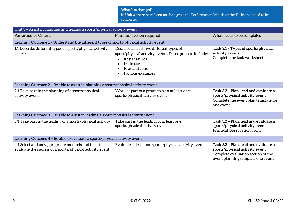In Unit 3, there have been no changes to the Performance Criteria or the Tasks that need to be completed.

| Unit 3 - Assist in planning and leading a sports/physical activity event                                        |                                                                                                                                                                              |                                                                                                                                                   |  |
|-----------------------------------------------------------------------------------------------------------------|------------------------------------------------------------------------------------------------------------------------------------------------------------------------------|---------------------------------------------------------------------------------------------------------------------------------------------------|--|
| Performance Criteria                                                                                            | Minimum action required                                                                                                                                                      | What needs to be completed                                                                                                                        |  |
| Learning Outcome 1 - Understand the different types of sports/physical activity event                           |                                                                                                                                                                              |                                                                                                                                                   |  |
| 1.1 Describe different types of sports/physical activity<br>events                                              | Describe at least five different types of<br>sport/physical activity events. Description to include:<br><b>Key Features</b><br>Main uses<br>Pros and cons<br>Famous examples | Task 3.1 - Types of sports/physical<br>activity events<br>Complete the task worksheet                                                             |  |
| Learning Outcome 2 - Be able to assist in planning a sports/physical activity event                             |                                                                                                                                                                              |                                                                                                                                                   |  |
| 2.1 Take part in the planning of a sports/physical<br>activity event                                            | Work as part of a group to plan at least one<br>sports/physical activity event                                                                                               | Task 3.2 - Plan, lead and evaluate a<br>sports/physical activity event<br>Complete the event plan template for<br>one event                       |  |
| Learning Outcome 3 - Be able to assist in leading a sports/physical activity event                              |                                                                                                                                                                              |                                                                                                                                                   |  |
| 3.1 Take part in the leading of a sports/physical activity                                                      | Take part in the leading of at least one<br>sports/physical activity event                                                                                                   | Task 3.2 - Plan, lead and evaluate a<br>sports/physical activity event<br><b>Practical Observation Form</b>                                       |  |
| Learning Outcome 4 - Be able to evaluate a sports/physical activity event                                       |                                                                                                                                                                              |                                                                                                                                                   |  |
| 4.1 Select and use appropriate methods and tools to<br>evaluate the success of a sports/physical activity event | Evaluate at least one sports/physical activity event                                                                                                                         | Task 3.2 - Plan, lead and evaluate a<br>sports/physical activity event<br>Complete evaluation section of the<br>event planning template one event |  |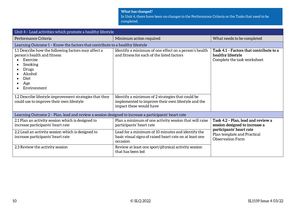In Unit 4, there have been no changes to the Performance Criteria or the Tasks that need to be completed.

| Unit 4 - Lead activities which promote a healthy lifestyle                                                                                                                |                                                                                                                                   |                                                                                             |  |
|---------------------------------------------------------------------------------------------------------------------------------------------------------------------------|-----------------------------------------------------------------------------------------------------------------------------------|---------------------------------------------------------------------------------------------|--|
| Performance Criteria                                                                                                                                                      | Minimum action required                                                                                                           | What needs to be completed                                                                  |  |
| Learning Outcome 1 - Know the factors that contribute to a healthy lifestyle                                                                                              |                                                                                                                                   |                                                                                             |  |
| 1.1 Describe how the following factors may affect a<br>person's health and fitness:<br>Exercise<br>Smoking<br>$\bullet$<br>Drugs<br>Alcohol<br>Diet<br>Age<br>Environment | Identify a minimum of one effect on a person's health<br>and fitness for each of the listed factors                               | Task 4.1 - Factors that contribute to a<br>healthy lifestyle<br>Complete the task worksheet |  |
| 1.2 Describe lifestyle improvement strategies that they<br>could use to improve their own lifestyle                                                                       | Identify a minimum of 2 strategies that could be<br>implemented to improve their own lifestyle and the<br>impact these would have |                                                                                             |  |
| Learning Outcome 2 - Plan, lead and review a session designed to increase a participants' heart rate                                                                      |                                                                                                                                   |                                                                                             |  |
| 2.1 Plan an activity session which is designed to<br>increase participants' heart rate                                                                                    | Plan a minimum of one activity session that will raise<br>participants' heart rate                                                | Task 4.2 - Plan, lead and review a<br>session designed to increase a                        |  |
| 2.2 Lead an activity session which is designed to<br>increase participants' heart rate                                                                                    | Lead for a minimum of 10 minutes and identify the<br>basic visual signs of raised heart rate on at least one<br>occasion          | participants' heart rate<br>Plan template and Practical<br><b>Observation Form</b>          |  |
| 2.3 Review the activity session                                                                                                                                           | Review at least one sport/physical activity session<br>that has been led                                                          |                                                                                             |  |